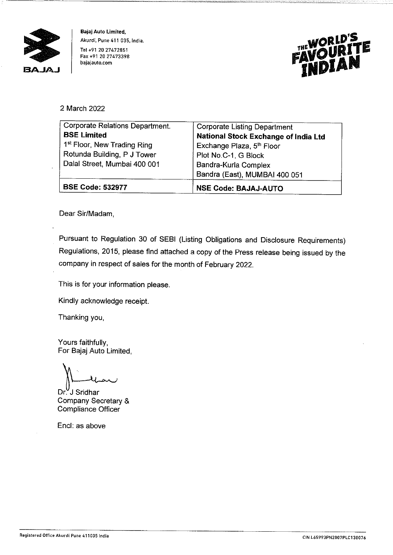

**Bajaj Auto Limited, Akurdi, Pune 411 035, India.**  Tel +91 20 27472851 **Fax +91 20 27473398 bajajauto.com** 



## 2 March 2022

| Plot No.C-1, G Block<br>Bandra-Kurla Complex                                |
|-----------------------------------------------------------------------------|
| Exchange Plaza, 5 <sup>th</sup> Floor                                       |
| <b>Corporate Listing Department</b><br>National Stock Exchange of India Ltd |
|                                                                             |

Dear Sir/Madam,

Pursuant to Regulation 30 of SEBI (Listing Obligations and Disclosure Requirements) Regulations, 2015, please find attached a copy of the Press release being issued by the company in respect of sales for the month of February 2022.

This is for your information please.

Kindly acknowledge receipt.

Thanking you,

Yours faithfully, For Bajaj Auto Limited,

For Bajaj Auto Limited,<br>
(Company Secretary &<br>
Company Secretary &

Company Secretary & Compliance Officer

Encl: as above